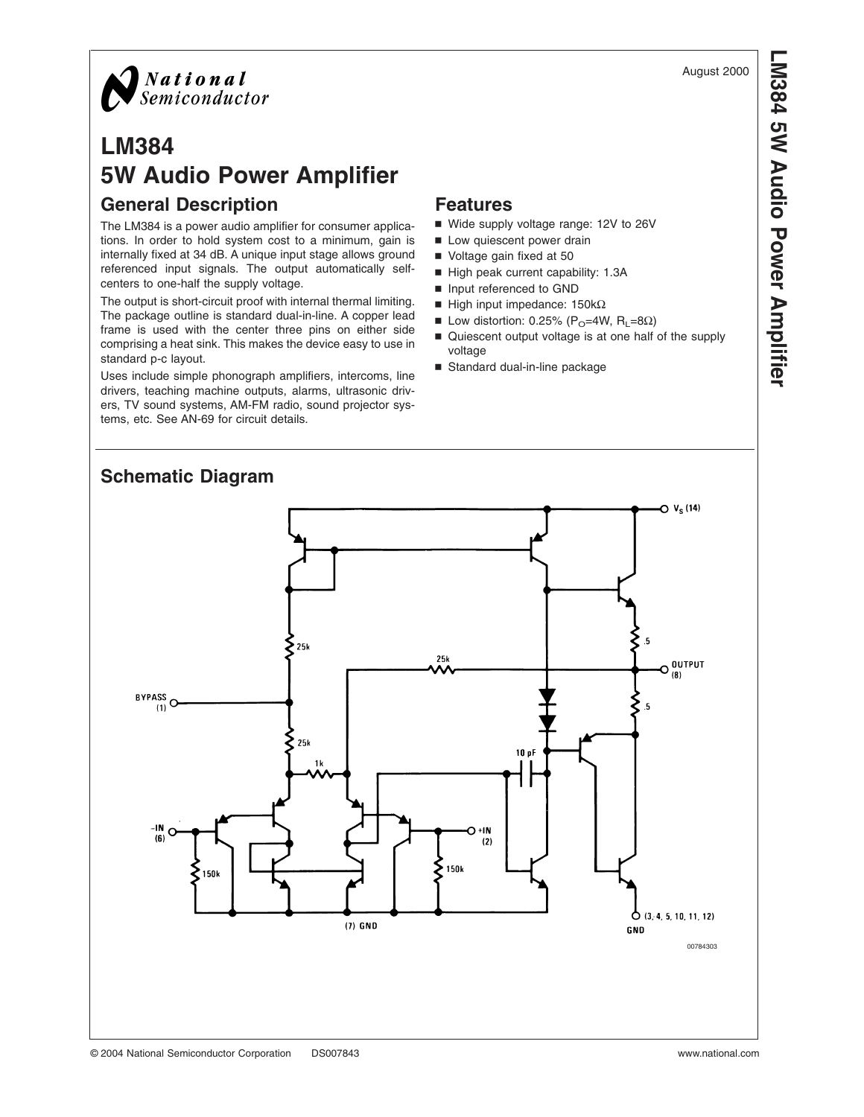

# **LM384 5W Audio Power Amplifier General Description**

The LM384 is a power audio amplifier for consumer applications. In order to hold system cost to a minimum, gain is internally fixed at 34 dB. A unique input stage allows ground referenced input signals. The output automatically selfcenters to one-half the supply voltage.

The output is short-circuit proof with internal thermal limiting. The package outline is standard dual-in-line. A copper lead frame is used with the center three pins on either side comprising a heat sink. This makes the device easy to use in standard p-c layout.

Uses include simple phonograph amplifiers, intercoms, line drivers, teaching machine outputs, alarms, ultrasonic drivers, TV sound systems, AM-FM radio, sound projector systems, etc. See AN-69 for circuit details.

#### **Features**

- Wide supply voltage range: 12V to 26V
- Low quiescent power drain
- Voltage gain fixed at 50
- High peak current capability: 1.3A
- n Input referenced to GND
- $\blacksquare$  High input impedance: 150kΩ
- **■** Low distortion: 0.25% (P<sub>O</sub>=4W, R<sub>L</sub>=8Ω)
- Quiescent output voltage is at one half of the supply voltage
- Standard dual-in-line package

## **Schematic Diagram**



August 2000 **LM384 5W Audio Power Amplifier**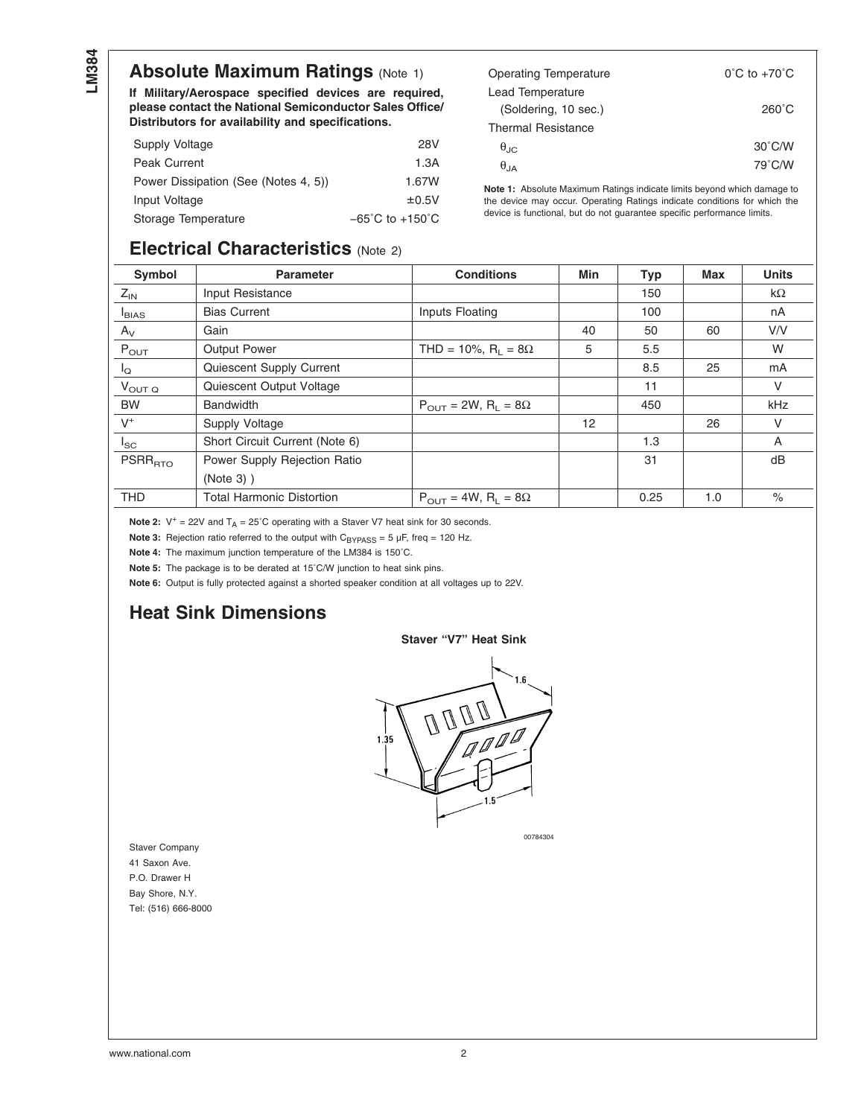### **Absolute Maximum Ratings (Note 1)**

**If Military/Aerospace specified devices are required, please contact the National Semiconductor Sales Office/ Distributors for availability and specifications.**

| Supply Voltage                       | 28V                                 |
|--------------------------------------|-------------------------------------|
| <b>Peak Current</b>                  | 1.3A                                |
| Power Dissipation (See (Notes 4, 5)) | 1.67W                               |
| Input Voltage                        | ±0.5V                               |
| Storage Temperature                  | $-65^{\circ}$ C to $+150^{\circ}$ C |

| Operating Temperature     | $0^{\circ}$ C to +70 $^{\circ}$ C |
|---------------------------|-----------------------------------|
| Lead Temperature          |                                   |
| (Soldering, 10 sec.)      | $260^{\circ}$ C                   |
| <b>Thermal Resistance</b> |                                   |
| $\theta_{\rm JC}$         | $30^{\circ}$ C/W                  |
| $\theta_{JA}$             | 79°C/W                            |

**Note 1:** Absolute Maximum Ratings indicate limits beyond which damage to the device may occur. Operating Ratings indicate conditions for which the device is functional, but do not guarantee specific performance limits.

#### **Electrical Characteristics** (Note 2)

| Symbol             | <b>Parameter</b>               | <b>Conditions</b>                                | Min | <b>Typ</b> | <b>Max</b> | <b>Units</b> |
|--------------------|--------------------------------|--------------------------------------------------|-----|------------|------------|--------------|
| $Z_{IN}$           | Input Resistance               |                                                  |     | 150        |            | $k\Omega$    |
| $I_{BIAS}$         | <b>Bias Current</b>            | Inputs Floating                                  |     | 100        |            | nA           |
| $A_V$              | Gain                           |                                                  | 40  | 50         | 60         | V/V          |
| $P_{OUT}$          | <b>Output Power</b>            | THD = 10%, $R_1 = 8\Omega$                       | 5   | 5.5        |            | W            |
| $I_{\mathsf{Q}}$   | Quiescent Supply Current       |                                                  |     | 8.5        | 25         | mA           |
| $V_{\text{OUT Q}}$ | Quiescent Output Voltage       |                                                  |     | 11         |            | V            |
| BW                 | <b>Bandwidth</b>               | $P_{\text{OUT}} = 2W$ , $R_{\text{L}} = 8\Omega$ |     | 450        |            | kHz          |
| $V^+$              | Supply Voltage                 |                                                  | 12  |            | 26         | V            |
| $I_{SC}$           | Short Circuit Current (Note 6) |                                                  |     | 1.3        |            | A            |
| $PSRR_{\rm RTO}$   | Power Supply Rejection Ratio   |                                                  |     | 31         |            | dB           |
|                    | $(Note 3)$ )                   |                                                  |     |            |            |              |
| <b>THD</b>         | Total Harmonic Distortion      | $P_{\text{OUT}} = 4W$ , $R_{\text{L}} = 8\Omega$ |     | 0.25       | 1.0        | $\%$         |

**Note 2:**  $V^+ = 22V$  and  $T_A = 25^\circ C$  operating with a Staver V7 heat sink for 30 seconds.

**Note 3:** Rejection ratio referred to the output with  $C_{\text{BYPASS}} = 5 \mu F$ , freq = 120 Hz.

**Note 4:** The maximum junction temperature of the LM384 is 150˚C.

**Note 5:** The package is to be derated at 15˚C/W junction to heat sink pins.

**Note 6:** Output is fully protected against a shorted speaker condition at all voltages up to 22V.

#### **Heat Sink Dimensions**

#### **Staver "V7" Heat Sink**



00784304

Staver Company 41 Saxon Ave. P.O. Drawer H Bay Shore, N.Y. Tel: (516) 666-8000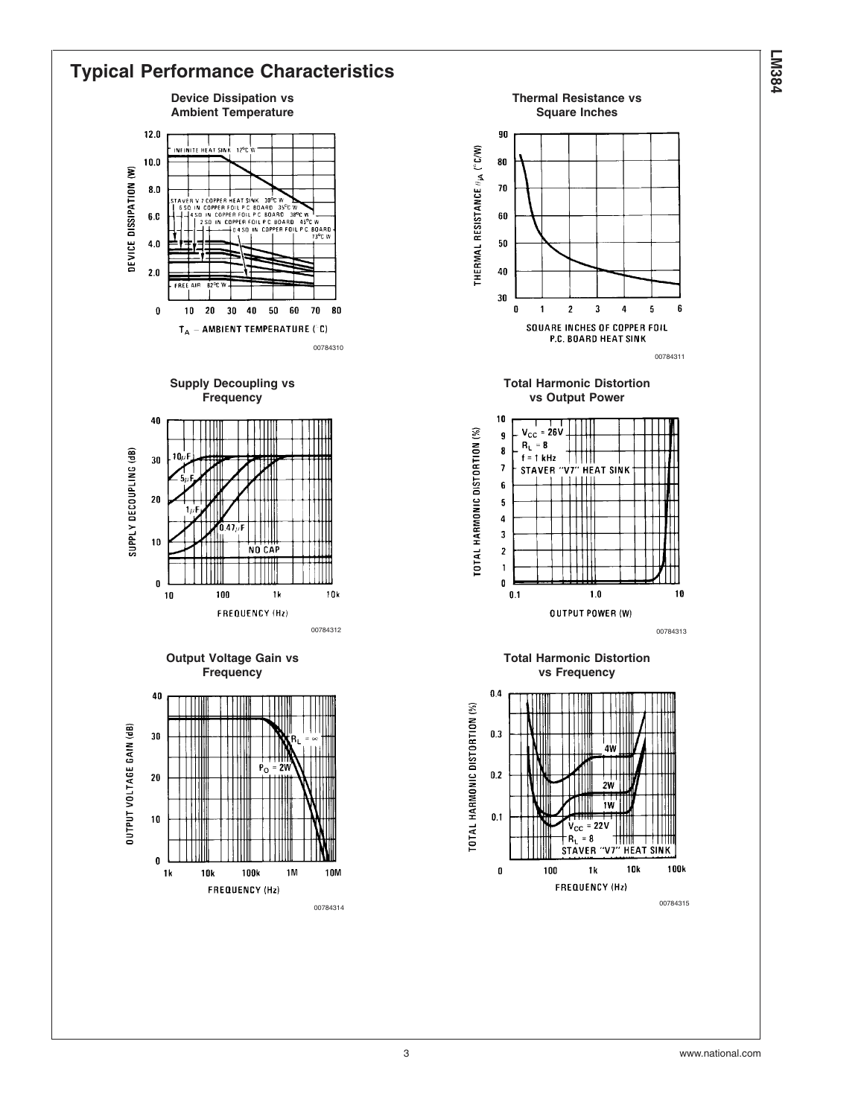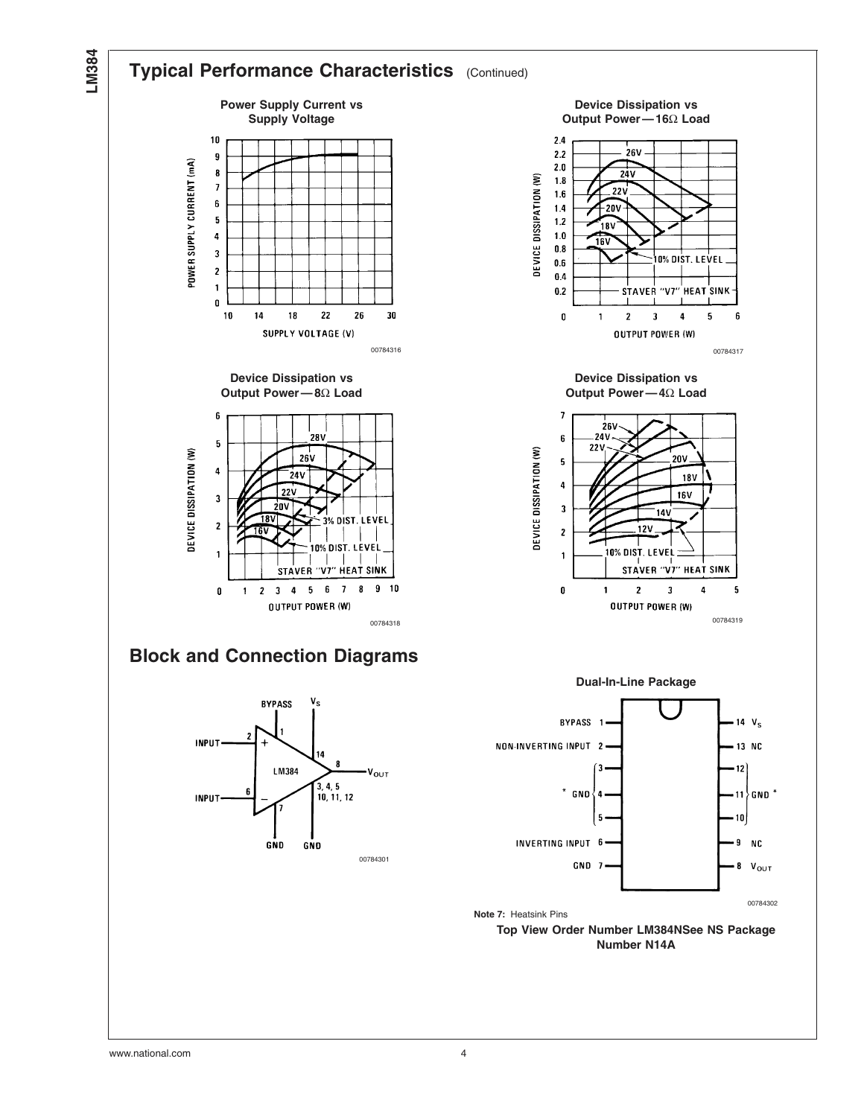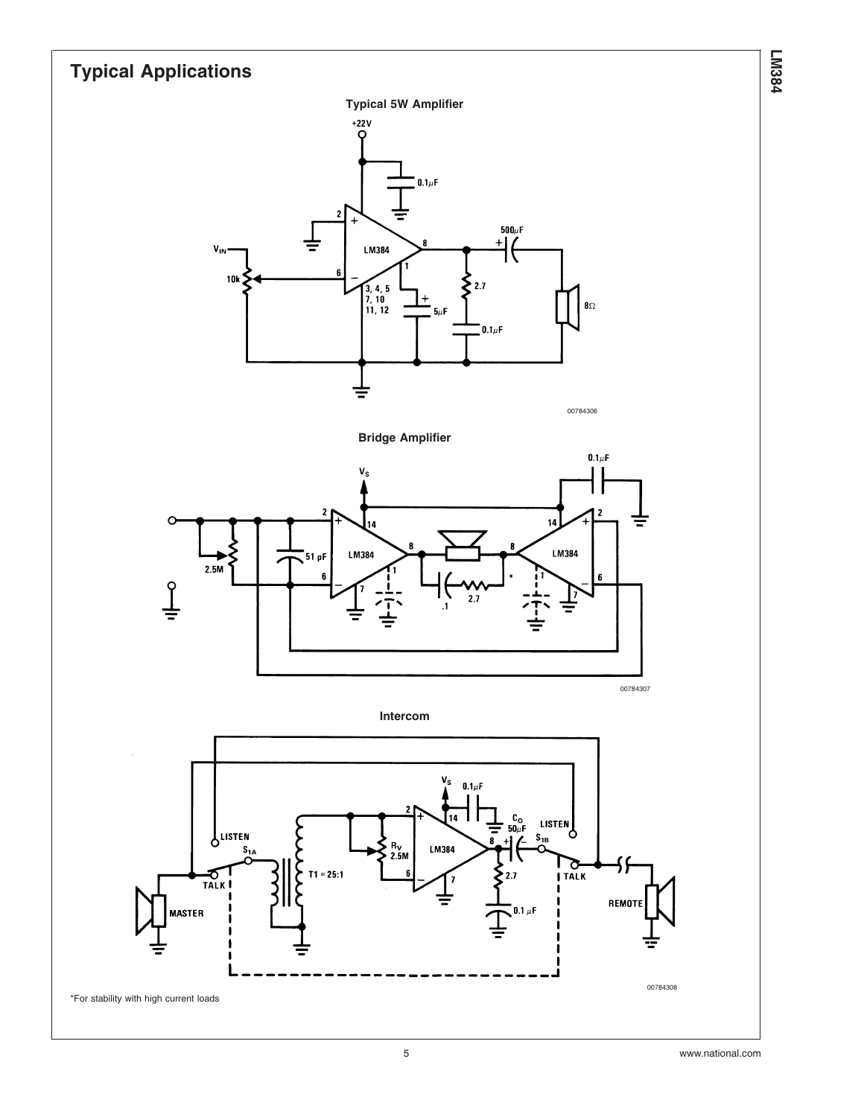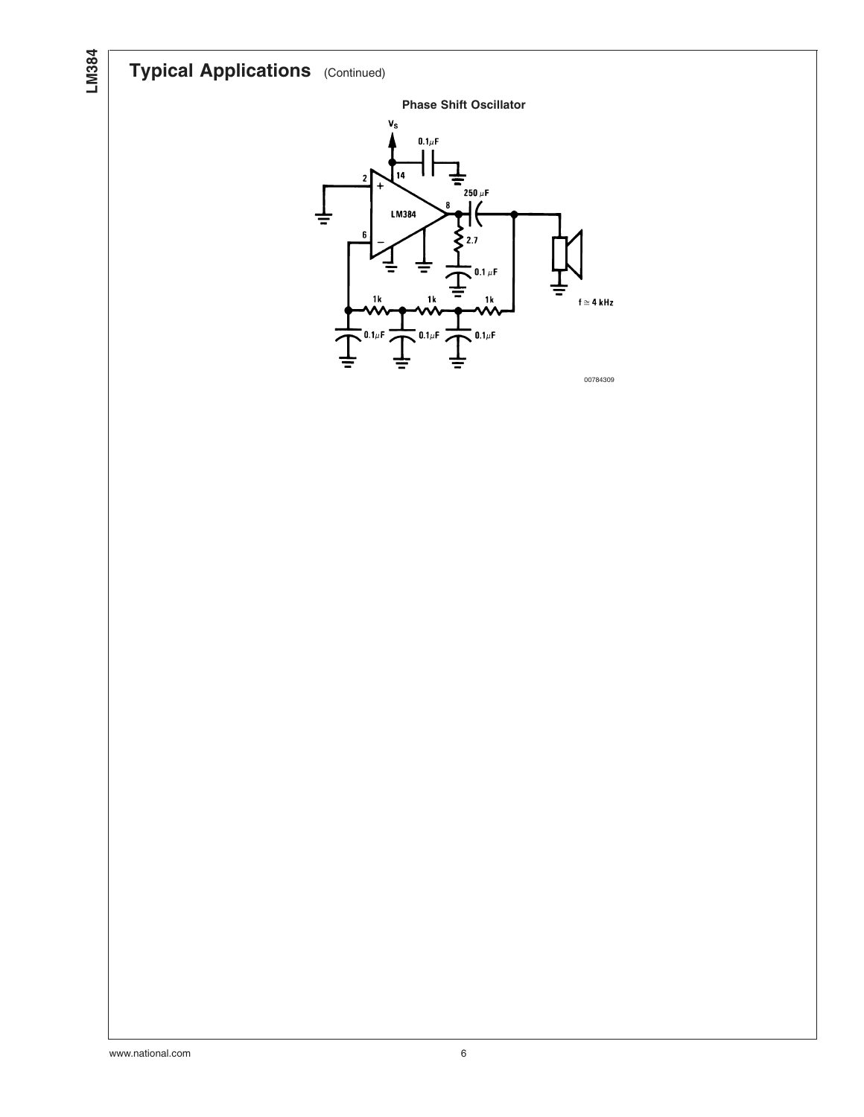# **Typical Applications** (Continued)



**LM384**